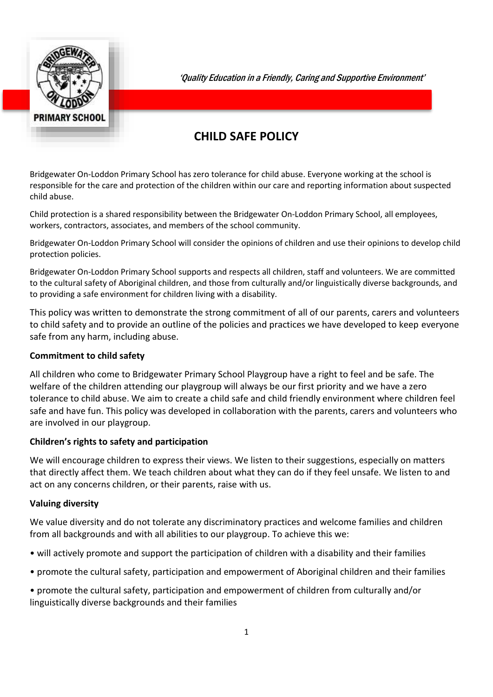

'Quality Education in a Friendly, Caring and Supportive Environment'

# **CHILD SAFE POLICY**

Bridgewater On-Loddon Primary School has zero tolerance for child abuse. Everyone working at the school is responsible for the care and protection of the children within our care and reporting information about suspected child abuse.

Child protection is a shared responsibility between the Bridgewater On-Loddon Primary School, all employees, workers, contractors, associates, and members of the school community.

Bridgewater On-Loddon Primary School will consider the opinions of children and use their opinions to develop child protection policies.

Bridgewater On-Loddon Primary School supports and respects all children, staff and volunteers. We are committed to the cultural safety of Aboriginal children, and those from culturally and/or linguistically diverse backgrounds, and to providing a safe environment for children living with a disability.

This policy was written to demonstrate the strong commitment of all of our parents, carers and volunteers to child safety and to provide an outline of the policies and practices we have developed to keep everyone safe from any harm, including abuse.

## **Commitment to child safety**

All children who come to Bridgewater Primary School Playgroup have a right to feel and be safe. The welfare of the children attending our playgroup will always be our first priority and we have a zero tolerance to child abuse. We aim to create a child safe and child friendly environment where children feel safe and have fun. This policy was developed in collaboration with the parents, carers and volunteers who are involved in our playgroup.

#### **Children's rights to safety and participation**

We will encourage children to express their views. We listen to their suggestions, especially on matters that directly affect them. We teach children about what they can do if they feel unsafe. We listen to and act on any concerns children, or their parents, raise with us.

#### **Valuing diversity**

We value diversity and do not tolerate any discriminatory practices and welcome families and children from all backgrounds and with all abilities to our playgroup. To achieve this we:

- will actively promote and support the participation of children with a disability and their families
- promote the cultural safety, participation and empowerment of Aboriginal children and their families

• promote the cultural safety, participation and empowerment of children from culturally and/or linguistically diverse backgrounds and their families